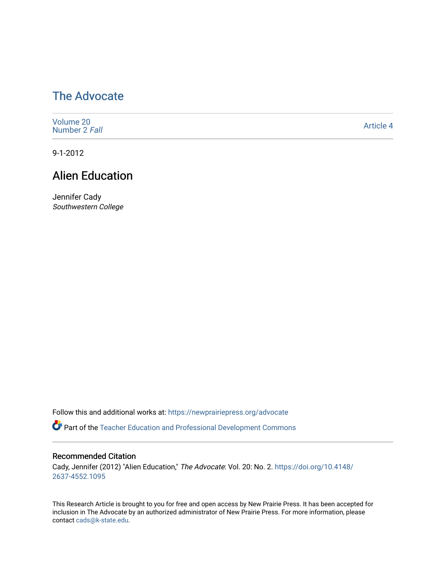# [The Advocate](https://newprairiepress.org/advocate)

| Volume 20<br>Number 2 Fall | Article 4 |
|----------------------------|-----------|
|----------------------------|-----------|

9-1-2012

## Alien Education

Jennifer Cady Southwestern College

Follow this and additional works at: [https://newprairiepress.org/advocate](https://newprairiepress.org/advocate?utm_source=newprairiepress.org%2Fadvocate%2Fvol20%2Fiss2%2F4&utm_medium=PDF&utm_campaign=PDFCoverPages) 

**Part of the Teacher Education and Professional Development Commons** 

#### Recommended Citation

Cady, Jennifer (2012) "Alien Education," The Advocate: Vol. 20: No. 2. [https://doi.org/10.4148/](https://doi.org/10.4148/2637-4552.1095) [2637-4552.1095](https://doi.org/10.4148/2637-4552.1095) 

This Research Article is brought to you for free and open access by New Prairie Press. It has been accepted for inclusion in The Advocate by an authorized administrator of New Prairie Press. For more information, please contact [cads@k-state.edu](mailto:cads@k-state.edu).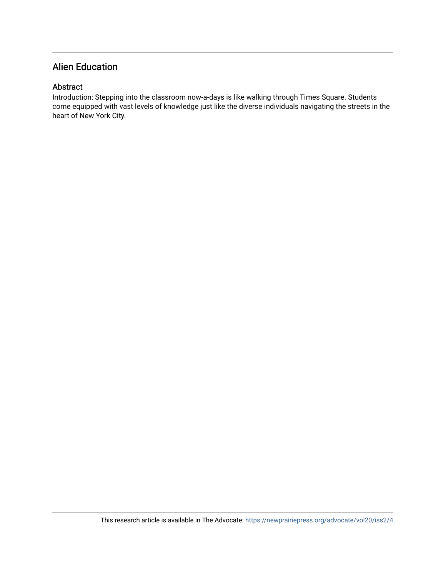## Alien Education

#### Abstract

Introduction: Stepping into the classroom now-a-days is like walking through Times Square. Students come equipped with vast levels of knowledge just like the diverse individuals navigating the streets in the heart of New York City.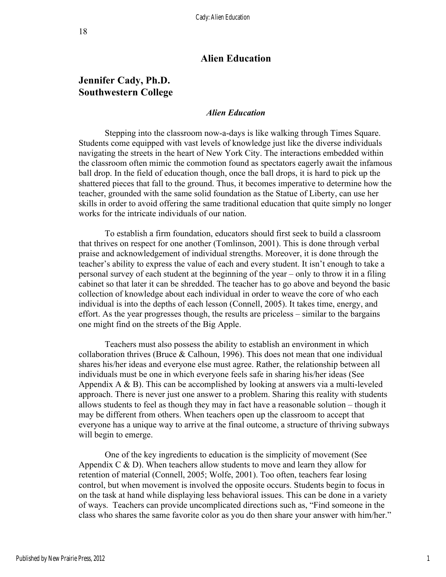## **Alien Education**

## **Jennifer Cady, Ph.D. Southwestern College**

#### *Alien Education*

Stepping into the classroom now-a-days is like walking through Times Square. Students come equipped with vast levels of knowledge just like the diverse individuals navigating the streets in the heart of New York City. The interactions embedded within the classroom often mimic the commotion found as spectators eagerly await the infamous ball drop. In the field of education though, once the ball drops, it is hard to pick up the shattered pieces that fall to the ground. Thus, it becomes imperative to determine how the teacher, grounded with the same solid foundation as the Statue of Liberty, can use her skills in order to avoid offering the same traditional education that quite simply no longer works for the intricate individuals of our nation.

To establish a firm foundation, educators should first seek to build a classroom that thrives on respect for one another (Tomlinson, 2001). This is done through verbal praise and acknowledgement of individual strengths. Moreover, it is done through the teacher's ability to express the value of each and every student. It isn't enough to take a personal survey of each student at the beginning of the year – only to throw it in a filing cabinet so that later it can be shredded. The teacher has to go above and beyond the basic collection of knowledge about each individual in order to weave the core of who each individual is into the depths of each lesson (Connell, 2005). It takes time, energy, and effort. As the year progresses though, the results are priceless – similar to the bargains one might find on the streets of the Big Apple.

Teachers must also possess the ability to establish an environment in which collaboration thrives (Bruce  $&$  Calhoun, 1996). This does not mean that one individual shares his/her ideas and everyone else must agree. Rather, the relationship between all individuals must be one in which everyone feels safe in sharing his/her ideas (See Appendix  $A \& B$ ). This can be accomplished by looking at answers via a multi-leveled approach. There is never just one answer to a problem. Sharing this reality with students allows students to feel as though they may in fact have a reasonable solution – though it may be different from others. When teachers open up the classroom to accept that everyone has a unique way to arrive at the final outcome, a structure of thriving subways will begin to emerge.

One of the key ingredients to education is the simplicity of movement (See Appendix  $C \& D$ ). When teachers allow students to move and learn they allow for retention of material (Connell, 2005; Wolfe, 2001). Too often, teachers fear losing control, but when movement is involved the opposite occurs. Students begin to focus in on the task at hand while displaying less behavioral issues. This can be done in a variety of ways. Teachers can provide uncomplicated directions such as, "Find someone in the class who shares the same favorite color as you do then share your answer with him/her."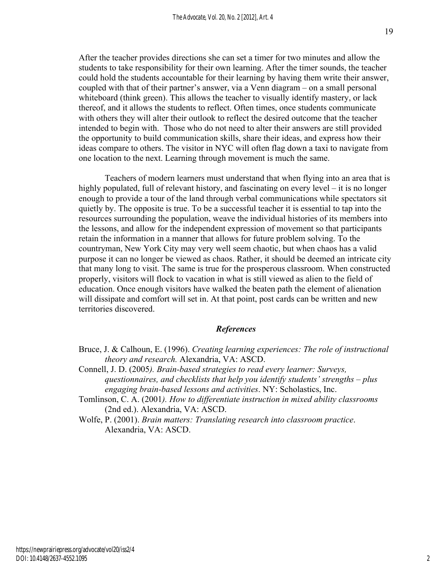After the teacher provides directions she can set a timer for two minutes and allow the students to take responsibility for their own learning. After the timer sounds, the teacher could hold the students accountable for their learning by having them write their answer, coupled with that of their partner's answer, via a Venn diagram – on a small personal whiteboard (think green). This allows the teacher to visually identify mastery, or lack thereof, and it allows the students to reflect. Often times, once students communicate with others they will alter their outlook to reflect the desired outcome that the teacher intended to begin with. Those who do not need to alter their answers are still provided the opportunity to build communication skills, share their ideas, and express how their ideas compare to others. The visitor in NYC will often flag down a taxi to navigate from one location to the next. Learning through movement is much the same.

Teachers of modern learners must understand that when flying into an area that is highly populated, full of relevant history, and fascinating on every level – it is no longer enough to provide a tour of the land through verbal communications while spectators sit quietly by. The opposite is true. To be a successful teacher it is essential to tap into the resources surrounding the population, weave the individual histories of its members into the lessons, and allow for the independent expression of movement so that participants retain the information in a manner that allows for future problem solving. To the countryman, New York City may very well seem chaotic, but when chaos has a valid purpose it can no longer be viewed as chaos. Rather, it should be deemed an intricate city that many long to visit. The same is true for the prosperous classroom. When constructed properly, visitors will flock to vacation in what is still viewed as alien to the field of education. Once enough visitors have walked the beaten path the element of alienation will dissipate and comfort will set in. At that point, post cards can be written and new territories discovered.

#### *References*

- Bruce, J. & Calhoun, E. (1996). *Creating learning experiences: The role of instructional theory and research.* Alexandria, VA: ASCD.
- Connell, J. D. (2005*). Brain-based strategies to read every learner: Surveys, questionnaires, and checklists that help you identify students' strengths – plus engaging brain-based lessons and activities*. NY: Scholastics, Inc.
- Tomlinson, C. A. (2001*). How to differentiate instruction in mixed ability classrooms* (2nd ed.). Alexandria, VA: ASCD.
- Wolfe, P. (2001). *Brain matters: Translating research into classroom practice*. Alexandria, VA: ASCD.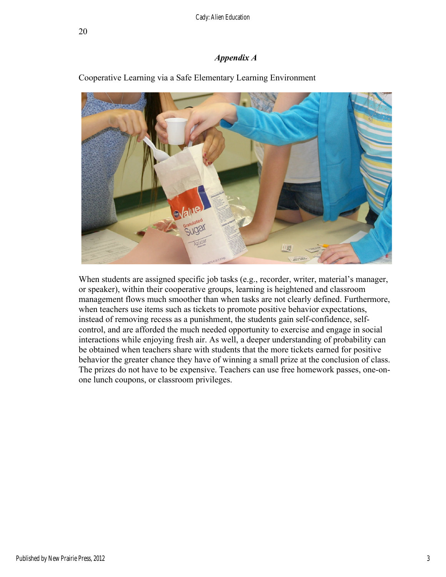#### *Appendix A*



Cooperative Learning via a Safe Elementary Learning Environment

When students are assigned specific job tasks (e.g., recorder, writer, material's manager, or speaker), within their cooperative groups, learning is heightened and classroom management flows much smoother than when tasks are not clearly defined. Furthermore, when teachers use items such as tickets to promote positive behavior expectations, instead of removing recess as a punishment, the students gain self-confidence, selfcontrol, and are afforded the much needed opportunity to exercise and engage in social interactions while enjoying fresh air. As well, a deeper understanding of probability can be obtained when teachers share with students that the more tickets earned for positive behavior the greater chance they have of winning a small prize at the conclusion of class. The prizes do not have to be expensive. Teachers can use free homework passes, one-onone lunch coupons, or classroom privileges.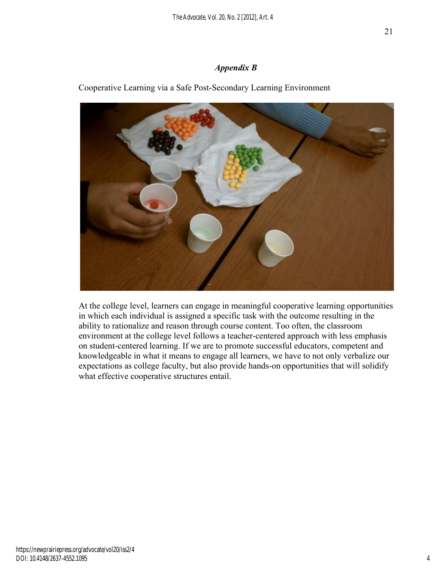## *Appendix B*

Cooperative Learning via a Safe Post-Secondary Learning Environment



At the college level, learners can engage in meaningful cooperative learning opportunities in which each individual is assigned a specific task with the outcome resulting in the ability to rationalize and reason through course content. Too often, the classroom environment at the college level follows a teacher-centered approach with less emphasis on student-centered learning. If we are to promote successful educators, competent and knowledgeable in what it means to engage all learners, we have to not only verbalize our expectations as college faculty, but also provide hands-on opportunities that will solidify what effective cooperative structures entail.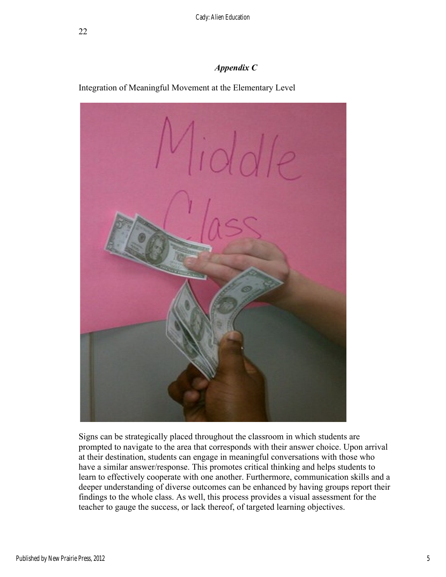## *Appendix C*

Integration of Meaningful Movement at the Elementary Level



Signs can be strategically placed throughout the classroom in which students are prompted to navigate to the area that corresponds with their answer choice. Upon arrival at their destination, students can engage in meaningful conversations with those who have a similar answer/response. This promotes critical thinking and helps students to learn to effectively cooperate with one another. Furthermore, communication skills and a deeper understanding of diverse outcomes can be enhanced by having groups report their findings to the whole class. As well, this process provides a visual assessment for the teacher to gauge the success, or lack thereof, of targeted learning objectives.